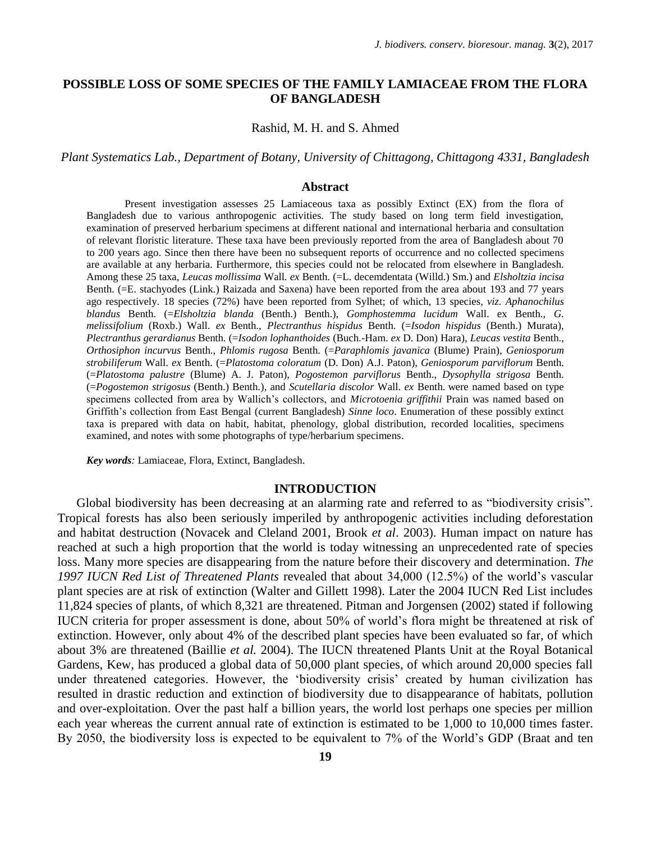## **POSSIBLE LOSS OF SOME SPECIES OF THE FAMILY LAMIACEAE FROM THE FLORA OF BANGLADESH**

Rashid, M. H. and S. Ahmed

*Plant Systematics Lab., Department of Botany, University of Chittagong, Chittagong 4331, Bangladesh*

### **Abstract**

Present investigation assesses 25 Lamiaceous taxa as possibly Extinct (EX) from the flora of Bangladesh due to various anthropogenic activities. The study based on long term field investigation, examination of preserved herbarium specimens at different national and international herbaria and consultation of relevant floristic literature. These taxa have been previously reported from the area of Bangladesh about 70 to 200 years ago. Since then there have been no subsequent reports of occurrence and no collected specimens are available at any herbaria. Furthermore, this species could not be relocated from elsewhere in Bangladesh. Among these 25 taxa, *Leucas mollissima* Wall*. ex* Benth. (=L. decemdentata (Willd.) Sm.) and *Elsholtzia incisa* Benth. (=E. stachyodes (Link.) Raizada and Saxena) have been reported from the area about 193 and 77 years ago respectively. 18 species (72%) have been reported from Sylhet; of which, 13 species, *viz. Aphanochilus blandus* Benth. (=*Elsholtzia blanda* (Benth.) Benth.), *Gomphostemma lucidum* Wall. ex Benth., *G. melissifolium* (Roxb.) Wall. *ex* Benth., *Plectranthus hispidus* Benth. (=*Isodon hispidus* (Benth.) Murata), *Plectranthus gerardianus* Benth. (=*Isodon lophanthoides* (Buch.-Ham. *ex* D. Don) Hara), *Leucas vestita* Benth., *Orthosiphon incurvus* Benth., *Phlomis rugosa* Benth. (=*Paraphlomis javanica* (Blume) Prain), *Geniosporum strobiliferum* Wall. *ex* Benth. (=*Platostoma coloratum* (D. Don) A.J. Paton), *Geniosporum parviflorum* Benth. (=*Platostoma palustre* (Blume) A. J. Paton), *Pogostemon parviflorus* Benth., *Dysophylla strigosa* Benth. (=*Pogostemon strigosus* (Benth.) Benth.), and *Scutellaria discolor* Wall. *ex* Benth. were named based on type specimens collected from area by Wallich"s collectors, and *Microtoenia griffithii* Prain was named based on Griffith"s collection from East Bengal (current Bangladesh) *Sinne loco*. Enumeration of these possibly extinct taxa is prepared with data on habit, habitat, phenology, global distribution, recorded localities, specimens examined, and notes with some photographs of type/herbarium specimens.

*Key words:* Lamiaceae, Flora, Extinct, Bangladesh.

### **INTRODUCTION**

Global biodiversity has been decreasing at an alarming rate and referred to as "biodiversity crisis". Tropical forests has also been seriously imperiled by anthropogenic activities including deforestation and habitat destruction (Novacek and Cleland 2001, Brook *et al*. 2003). Human impact on nature has reached at such a high proportion that the world is today witnessing an unprecedented rate of species loss. Many more species are disappearing from the nature before their discovery and determination. *The 1997 IUCN Red List of Threatened Plants* revealed that about 34,000 (12.5%) of the world"s vascular plant species are at risk of extinction (Walter and Gillett 1998). Later the 2004 IUCN Red List includes 11,824 species of plants, of which 8,321 are threatened. Pitman and Jorgensen (2002) stated if following IUCN criteria for proper assessment is done, about 50% of world"s flora might be threatened at risk of extinction. However, only about 4% of the described plant species have been evaluated so far, of which about 3% are threatened (Baillie *et al.* 2004). The IUCN threatened Plants Unit at the Royal Botanical Gardens, Kew, has produced a global data of 50,000 plant species, of which around 20,000 species fall under threatened categories. However, the 'biodiversity crisis' created by human civilization has resulted in drastic reduction and extinction of biodiversity due to disappearance of habitats, pollution and over-exploitation. Over the past half a billion years, the world lost perhaps one species per million each year whereas the current annual rate of extinction is estimated to be 1,000 to 10,000 times faster. By 2050, the biodiversity loss is expected to be equivalent to 7% of the World"s GDP (Braat and ten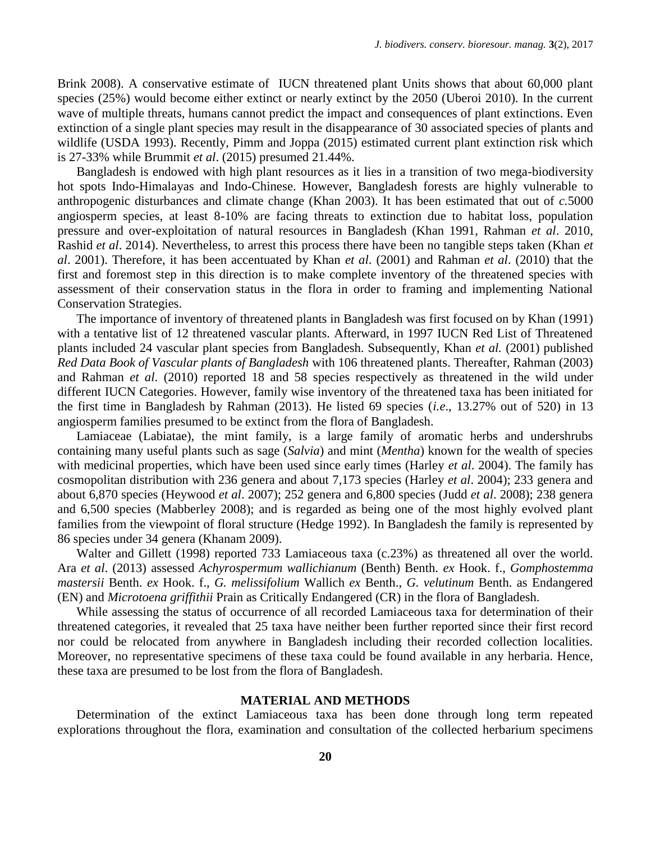Brink 2008). A conservative estimate of IUCN threatened plant Units shows that about 60,000 plant species (25%) would become either extinct or nearly extinct by the 2050 (Uberoi 2010). In the current wave of multiple threats, humans cannot predict the impact and consequences of plant extinctions. Even extinction of a single plant species may result in the disappearance of 30 associated species of plants and wildlife (USDA 1993). Recently, Pimm and Joppa (2015) estimated current plant extinction risk which is 27-33% while Brummit *et al*. (2015) presumed 21.44%.

Bangladesh is endowed with high plant resources as it lies in a transition of two mega-biodiversity hot spots Indo-Himalayas and Indo-Chinese. However, Bangladesh forests are highly vulnerable to anthropogenic disturbances and climate change (Khan 2003). It has been estimated that out of *c.*5000 angiosperm species, at least 8-10% are facing threats to extinction due to habitat loss, population pressure and over-exploitation of natural resources in Bangladesh (Khan 1991, Rahman *et al*. 2010, Rashid *et al*. 2014). Nevertheless, to arrest this process there have been no tangible steps taken (Khan *et al*. 2001). Therefore, it has been accentuated by Khan *et al*. (2001) and Rahman *et al*. (2010) that the first and foremost step in this direction is to make complete inventory of the threatened species with assessment of their conservation status in the flora in order to framing and implementing National Conservation Strategies.

The importance of inventory of threatened plants in Bangladesh was first focused on by Khan (1991) with a tentative list of 12 threatened vascular plants. Afterward, in 1997 IUCN Red List of Threatened plants included 24 vascular plant species from Bangladesh. Subsequently, Khan *et al.* (2001) published *Red Data Book of Vascular plants of Bangladesh* with 106 threatened plants. Thereafter, Rahman (2003) and Rahman *et al*. (2010) reported 18 and 58 species respectively as threatened in the wild under different IUCN Categories. However, family wise inventory of the threatened taxa has been initiated for the first time in Bangladesh by Rahman (2013). He listed 69 species (*i.e*., 13.27% out of 520) in 13 angiosperm families presumed to be extinct from the flora of Bangladesh.

Lamiaceae (Labiatae)*,* the mint family, is a large family of aromatic herbs and undershrubs containing many useful plants such as sage (*Salvia*) and mint (*Mentha*) known for the wealth of species with medicinal properties, which have been used since early times (Harley *et al*. 2004). The family has cosmopolitan distribution with 236 genera and about 7,173 species (Harley *et al*. 2004); 233 genera and about 6,870 species (Heywood *et al*. 2007); 252 genera and 6,800 species (Judd *et al*. 2008); 238 genera and 6,500 species (Mabberley 2008); and is regarded as being one of the most highly evolved plant families from the viewpoint of floral structure (Hedge 1992). In Bangladesh the family is represented by 86 species under 34 genera (Khanam 2009).

Walter and Gillett (1998) reported 733 Lamiaceous taxa (c.23%) as threatened all over the world. Ara *et al*. (2013) assessed *Achyrospermum wallichianum* (Benth) Benth. *ex* Hook. f., *Gomphostemma mastersii* Benth. *ex* Hook. f., *G. melissifolium* Wallich *ex* Benth., *G. velutinum* Benth. as Endangered (EN) and *Microtoena griffithii* Prain as Critically Endangered (CR) in the flora of Bangladesh.

While assessing the status of occurrence of all recorded Lamiaceous taxa for determination of their threatened categories, it revealed that 25 taxa have neither been further reported since their first record nor could be relocated from anywhere in Bangladesh including their recorded collection localities. Moreover, no representative specimens of these taxa could be found available in any herbaria. Hence, these taxa are presumed to be lost from the flora of Bangladesh.

#### **MATERIAL AND METHODS**

Determination of the extinct Lamiaceous taxa has been done through long term repeated explorations throughout the flora, examination and consultation of the collected herbarium specimens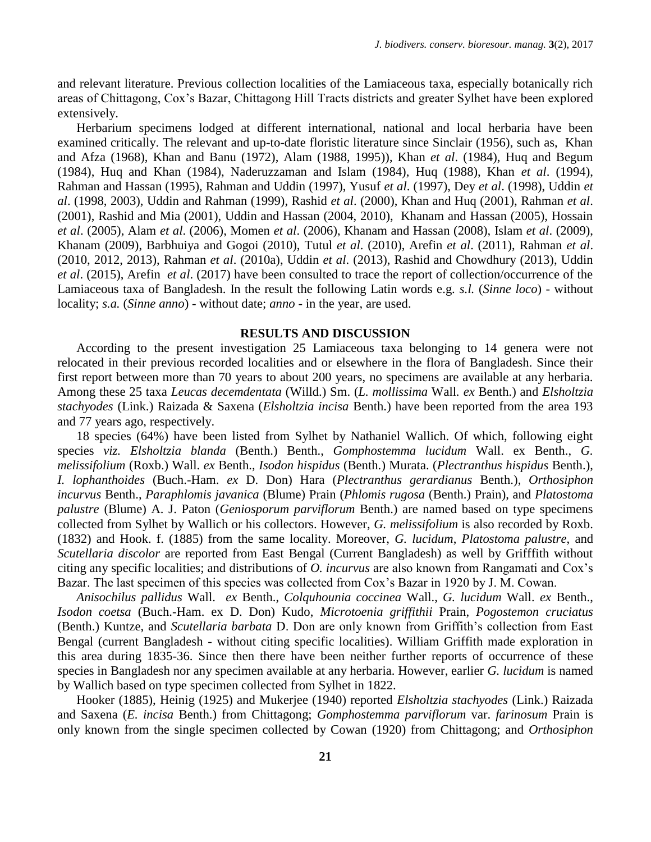and relevant literature. Previous collection localities of the Lamiaceous taxa, especially botanically rich areas of Chittagong, Cox"s Bazar, Chittagong Hill Tracts districts and greater Sylhet have been explored extensively.

Herbarium specimens lodged at different international, national and local herbaria have been examined critically. The relevant and up-to-date floristic literature since Sinclair (1956), such as, Khan and Afza (1968), Khan and Banu (1972), Alam (1988, 1995)), Khan *et al*. (1984), Huq and Begum (1984), Huq and Khan (1984), Naderuzzaman and Islam (1984), Huq (1988), Khan *et al*. (1994), Rahman and Hassan (1995), Rahman and Uddin (1997), Yusuf *et al*. (1997), Dey *et al*. (1998), Uddin *et al*. (1998, 2003), Uddin and Rahman (1999), Rashid *et al*. (2000), Khan and Huq (2001), Rahman *et al*. (2001), Rashid and Mia (2001), Uddin and Hassan (2004, 2010), Khanam and Hassan (2005), Hossain *et al*. (2005), Alam *et al*. (2006), Momen *et al*. (2006), Khanam and Hassan (2008), Islam *et al*. (2009), Khanam (2009), Barbhuiya and Gogoi (2010), Tutul *et al*. (2010), Arefin *et al*. (2011), Rahman *et al*. (2010, 2012, 2013), Rahman *et al*. (2010a), Uddin *et al*. (2013), Rashid and Chowdhury (2013), Uddin *et al*. (2015), Arefin *et al*. (2017) have been consulted to trace the report of collection/occurrence of the Lamiaceous taxa of Bangladesh. In the result the following Latin words e.g. *s.l.* (*Sinne loco*) - without locality; *s.a.* (*Sinne anno*) - without date; *anno* - in the year, are used.

## **RESULTS AND DISCUSSION**

According to the present investigation 25 Lamiaceous taxa belonging to 14 genera were not relocated in their previous recorded localities and or elsewhere in the flora of Bangladesh. Since their first report between more than 70 years to about 200 years, no specimens are available at any herbaria. Among these 25 taxa *Leucas decemdentata* (Willd.) Sm. (*L. mollissima* Wall*. ex* Benth.) and *Elsholtzia stachyodes* (Link.) Raizada & Saxena (*Elsholtzia incisa* Benth.) have been reported from the area 193 and 77 years ago, respectively.

18 species (64%) have been listed from Sylhet by Nathaniel Wallich. Of which, following eight species *viz. Elsholtzia blanda* (Benth.) Benth., *Gomphostemma lucidum* Wall. ex Benth., *G. melissifolium* (Roxb.) Wall. *ex* Benth., *Isodon hispidus* (Benth.) Murata. (*Plectranthus hispidus* Benth.), *I. lophanthoides* (Buch.-Ham. *ex* D. Don) Hara (*Plectranthus gerardianus* Benth.), *Orthosiphon incurvus* Benth., *Paraphlomis javanica* (Blume) Prain (*Phlomis rugosa* (Benth.) Prain), and *Platostoma palustre* (Blume) A. J. Paton (*Geniosporum parviflorum* Benth.) are named based on type specimens collected from Sylhet by Wallich or his collectors. However, *G. melissifolium* is also recorded by Roxb. (1832) and Hook. f. (1885) from the same locality. Moreover, *G. lucidum*, *Platostoma palustre*, and *Scutellaria discolor* are reported from East Bengal (Current Bangladesh) as well by Grifffith without citing any specific localities; and distributions of *O. incurvus* are also known from Rangamati and Cox"s Bazar. The last specimen of this species was collected from Cox"s Bazar in 1920 by J. M. Cowan.

*Anisochilus pallidus* Wall. *ex* Benth., *Colquhounia coccinea* Wall., *G. lucidum* Wall. *ex* Benth., *Isodon coetsa* (Buch.-Ham. ex D. Don) Kudo, *Microtoenia griffithii* Prain, *Pogostemon cruciatus*  (Benth.) Kuntze, and *Scutellaria barbata* D. Don are only known from Griffith"s collection from East Bengal (current Bangladesh - without citing specific localities). William Griffith made exploration in this area during 1835-36. Since then there have been neither further reports of occurrence of these species in Bangladesh nor any specimen available at any herbaria. However, earlier *G. lucidum* is named by Wallich based on type specimen collected from Sylhet in 1822.

Hooker (1885), Heinig (1925) and Mukerjee (1940) reported *Elsholtzia stachyodes* (Link.) Raizada and Saxena (*E. incisa* Benth.) from Chittagong; *Gomphostemma parviflorum* var. *farinosum* Prain is only known from the single specimen collected by Cowan (1920) from Chittagong; and *Orthosiphon*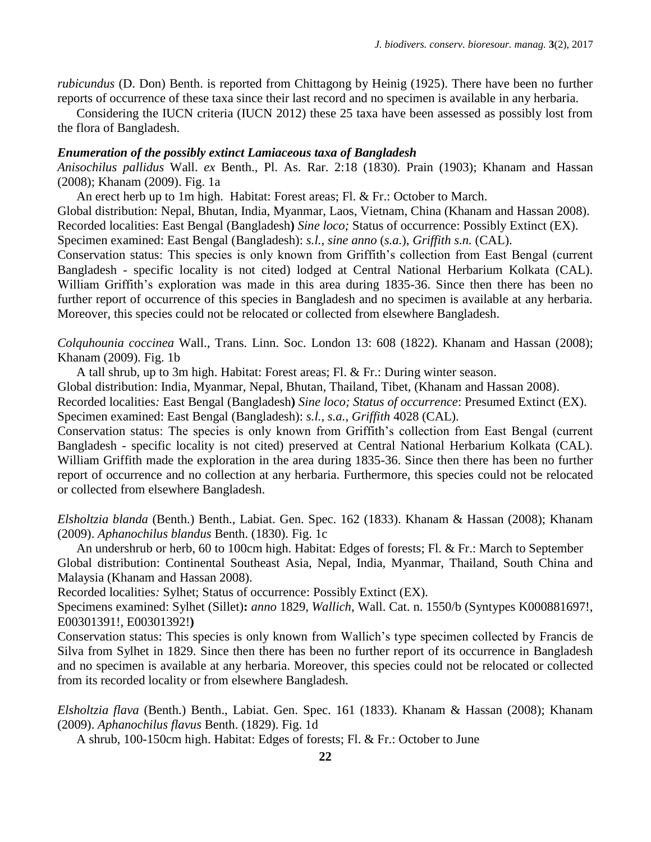*rubicundus* (D. Don) Benth. is reported from Chittagong by Heinig (1925). There have been no further reports of occurrence of these taxa since their last record and no specimen is available in any herbaria.

Considering the IUCN criteria (IUCN 2012) these 25 taxa have been assessed as possibly lost from the flora of Bangladesh.

#### *Enumeration of the possibly extinct Lamiaceous taxa of Bangladesh*

*Anisochilus pallidus* Wall. *ex* Benth., Pl. As. Rar. 2:18 (1830). Prain (1903); Khanam and Hassan (2008); Khanam (2009). Fig. 1a

An erect herb up to 1m high. Habitat: Forest areas; Fl. & Fr.: October to March.

Global distribution: Nepal, Bhutan, India, Myanmar, Laos, Vietnam, China (Khanam and Hassan 2008).

Recorded localities: East Bengal (Bangladesh**)** *Sine loco;* Status of occurrence: Possibly Extinct (EX).

Specimen examined: East Bengal (Bangladesh): *s.l.*, *sine anno* (*s.a.*), *Griffith s.n.* (CAL).

Conservation status: This species is only known from Griffith"s collection from East Bengal (current Bangladesh - specific locality is not cited) lodged at Central National Herbarium Kolkata (CAL). William Griffith's exploration was made in this area during 1835-36. Since then there has been no further report of occurrence of this species in Bangladesh and no specimen is available at any herbaria. Moreover, this species could not be relocated or collected from elsewhere Bangladesh.

*Colquhounia coccinea* Wall., Trans. Linn. Soc. London 13: 608 (1822). Khanam and Hassan (2008); Khanam (2009). Fig. 1b

A tall shrub, up to 3m high. Habitat: Forest areas; Fl. & Fr.: During winter season.

Global distribution: India, Myanmar, Nepal, Bhutan, Thailand, Tibet, (Khanam and Hassan 2008).

Recorded localities*:* East Bengal (Bangladesh**)** *Sine loco; Status of occurrence*: Presumed Extinct (EX). Specimen examined: East Bengal (Bangladesh): *s.l.*, *s.a.*, *Griffith* 4028 (CAL).

Conservation status: The species is only known from Griffith"s collection from East Bengal (current

Bangladesh - specific locality is not cited) preserved at Central National Herbarium Kolkata (CAL). William Griffith made the exploration in the area during 1835-36. Since then there has been no further report of occurrence and no collection at any herbaria. Furthermore, this species could not be relocated or collected from elsewhere Bangladesh.

*Elsholtzia blanda* (Benth.) Benth., Labiat. Gen. Spec. 162 (1833). Khanam & Hassan (2008); Khanam (2009). *Aphanochilus blandus* Benth. (1830). Fig. 1c

An undershrub or herb, 60 to 100cm high. Habitat: Edges of forests; Fl. & Fr.: March to September Global distribution: Continental Southeast Asia, Nepal, India, Myanmar, Thailand, South China and Malaysia (Khanam and Hassan 2008).

Recorded localities*:* Sylhet; Status of occurrence: Possibly Extinct (EX).

Specimens examined: Sylhet (Sillet)**:** *anno* 1829, *Wallich*, Wall. Cat. n. 1550/b (Syntypes K000881697!, E00301391!, E00301392!**)**

Conservation status: This species is only known from Wallich"s type specimen collected by Francis de Silva from Sylhet in 1829. Since then there has been no further report of its occurrence in Bangladesh and no specimen is available at any herbaria. Moreover, this species could not be relocated or collected from its recorded locality or from elsewhere Bangladesh.

*Elsholtzia flava* (Benth.) Benth., Labiat. Gen. Spec. 161 (1833). Khanam & Hassan (2008); Khanam (2009). *Aphanochilus flavus* Benth. (1829). Fig. 1d

A shrub, 100-150cm high. Habitat: Edges of forests; Fl. & Fr.: October to June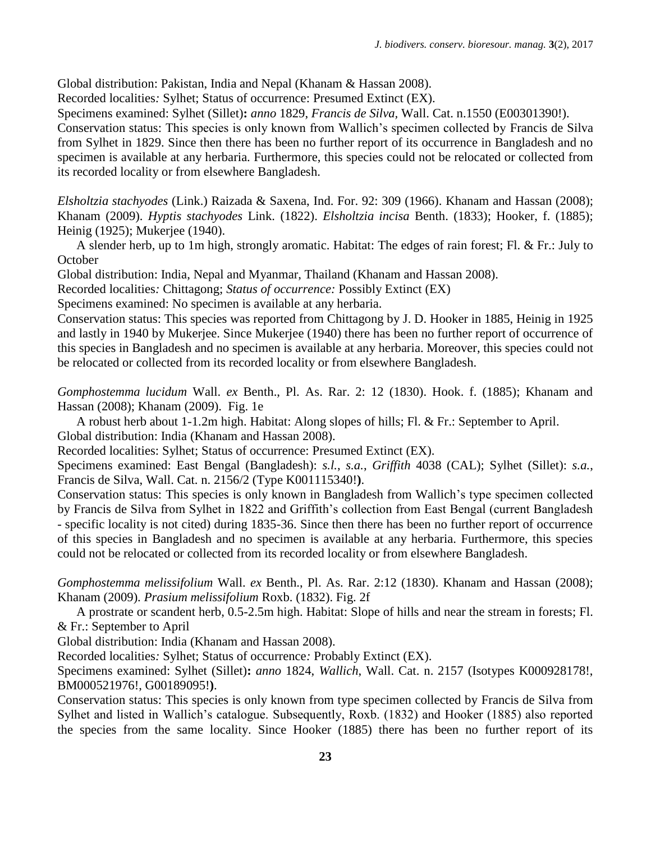Global distribution: Pakistan, India and Nepal (Khanam & Hassan 2008).

Recorded localities*:* Sylhet; Status of occurrence: Presumed Extinct (EX).

Specimens examined: Sylhet (Sillet)**:** *anno* 1829, *Francis de Silva,* Wall. Cat. n.1550 (E00301390!).

Conservation status: This species is only known from Wallich"s specimen collected by Francis de Silva from Sylhet in 1829. Since then there has been no further report of its occurrence in Bangladesh and no specimen is available at any herbaria. Furthermore, this species could not be relocated or collected from its recorded locality or from elsewhere Bangladesh.

*Elsholtzia stachyodes* (Link.) Raizada & Saxena, Ind. For. 92: 309 (1966). Khanam and Hassan (2008); Khanam (2009). *Hyptis stachyodes* Link. (1822). *Elsholtzia incisa* Benth. (1833); Hooker, f. (1885); Heinig (1925); Mukerjee (1940).

A slender herb, up to 1m high, strongly aromatic. Habitat: The edges of rain forest; Fl. & Fr.: July to **October** 

Global distribution: India, Nepal and Myanmar, Thailand (Khanam and Hassan 2008).

Recorded localities*:* Chittagong; *Status of occurrence:* Possibly Extinct (EX)

Specimens examined: No specimen is available at any herbaria.

Conservation status: This species was reported from Chittagong by J. D. Hooker in 1885, Heinig in 1925 and lastly in 1940 by Mukerjee. Since Mukerjee (1940) there has been no further report of occurrence of this species in Bangladesh and no specimen is available at any herbaria. Moreover, this species could not be relocated or collected from its recorded locality or from elsewhere Bangladesh.

*Gomphostemma lucidum* Wall. *ex* Benth., Pl. As. Rar. 2: 12 (1830). Hook. f. (1885); Khanam and Hassan (2008); Khanam (2009). Fig. 1e

A robust herb about 1-1.2m high. Habitat: Along slopes of hills; Fl. & Fr.: September to April. Global distribution: India (Khanam and Hassan 2008).

Recorded localities: Sylhet; Status of occurrence: Presumed Extinct (EX).

Specimens examined: East Bengal (Bangladesh): *s.l.*, *s.a.*, *Griffith* 4038 (CAL); Sylhet (Sillet): *s.a.*, Francis de Silva, Wall. Cat. n. 2156/2 (Type K001115340!**)**.

Conservation status: This species is only known in Bangladesh from Wallich"s type specimen collected by Francis de Silva from Sylhet in 1822 and Griffith's collection from East Bengal (current Bangladesh - specific locality is not cited) during 1835-36. Since then there has been no further report of occurrence of this species in Bangladesh and no specimen is available at any herbaria. Furthermore, this species could not be relocated or collected from its recorded locality or from elsewhere Bangladesh.

*Gomphostemma melissifolium* Wall. *ex* Benth., Pl. As. Rar. 2:12 (1830). Khanam and Hassan (2008); Khanam (2009). *Prasium melissifolium* Roxb. (1832). Fig. 2f

A prostrate or scandent herb, 0.5-2.5m high. Habitat: Slope of hills and near the stream in forests; Fl. & Fr.: September to April

Global distribution: India (Khanam and Hassan 2008).

Recorded localities*:* Sylhet; Status of occurrence*:* Probably Extinct (EX).

Specimens examined: Sylhet (Sillet)**:** *anno* 1824, *Wallich*, Wall. Cat. n. 2157 (Isotypes K000928178!, BM000521976!, G00189095!**)**.

Conservation status: This species is only known from type specimen collected by Francis de Silva from Sylhet and listed in Wallich"s catalogue. Subsequently, Roxb. (1832) and Hooker (1885) also reported the species from the same locality. Since Hooker (1885) there has been no further report of its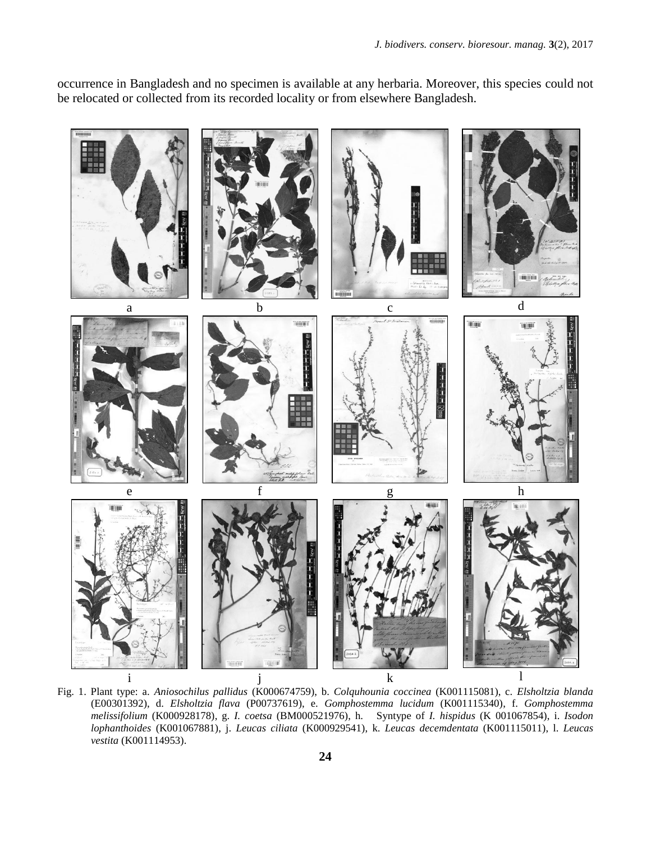occurrence in Bangladesh and no specimen is available at any herbaria. Moreover, this species could not be relocated or collected from its recorded locality or from elsewhere Bangladesh.



Fig. 1. Plant type: a. *Aniosochilus pallidus* (K000674759), b. *Colquhounia coccinea* (K001115081), c. *Elsholtzia blanda* (E00301392), d. *Elsholtzia flava* (P00737619), e. *Gomphostemma lucidum* (K001115340), f. *Gomphostemma melissifolium* (K000928178), g. *I. coetsa* (BM000521976), h. Syntype of *I. hispidus* (K 001067854), i. *Isodon lophanthoides* (K001067881), j. *Leucas ciliata* (K000929541), k. *Leucas decemdentata* (K001115011), l. *Leucas vestita* (K001114953).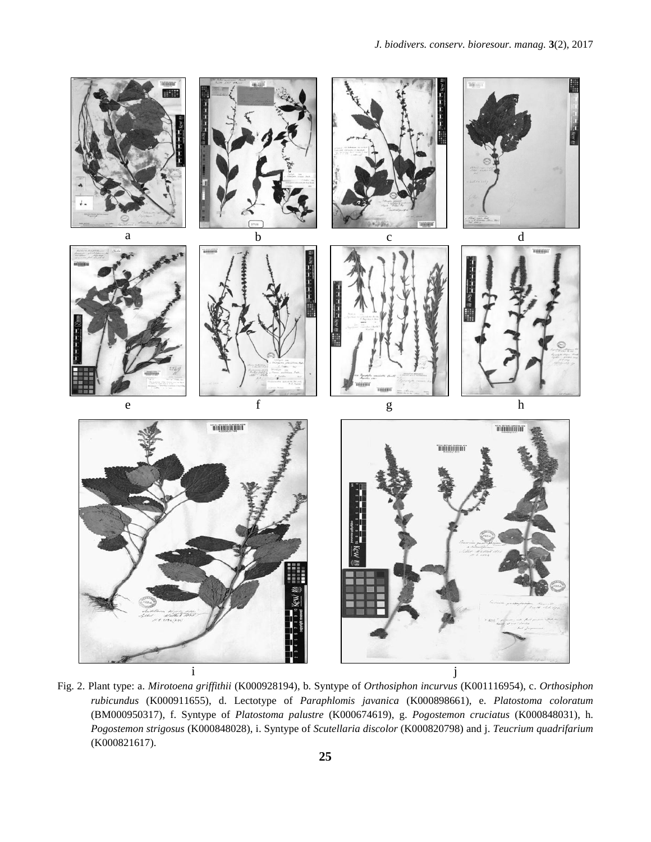

Fig. 2. Plant type: a. *Mirotoena griffithii* (K000928194), b. Syntype of *Orthosiphon incurvus* (K001116954), c. *Orthosiphon rubicundus* (K000911655), d. Lectotype of *Paraphlomis javanica* (K000898661), e. *Platostoma coloratum*  (BM000950317), f. Syntype of *Platostoma palustre* (K000674619), g. *Pogostemon cruciatus* (K000848031), h. *Pogostemon strigosus* (K000848028), i. Syntype of *Scutellaria discolor* (K000820798) and j. *Teucrium quadrifarium* (K000821617).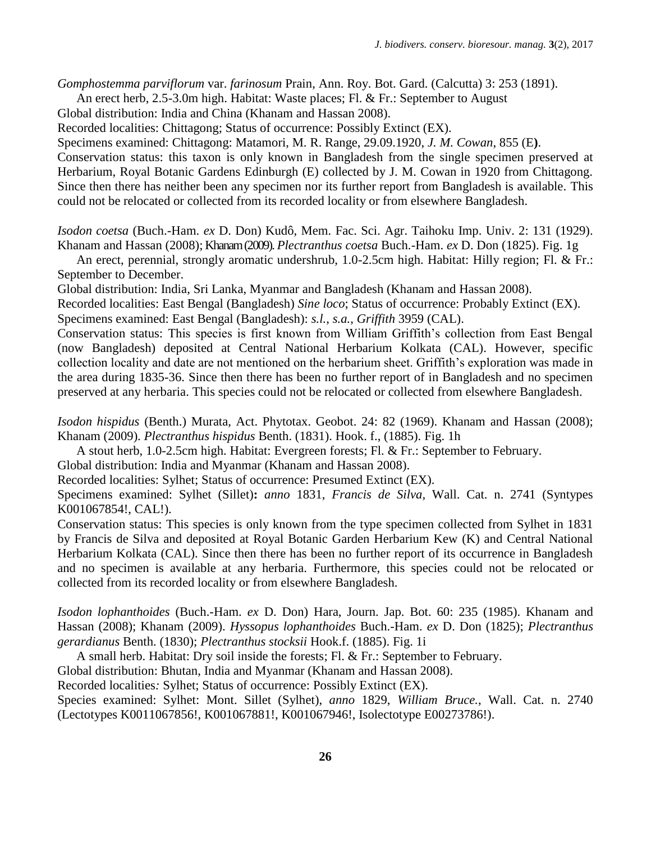*Gomphostemma parviflorum* var. *farinosum* Prain, Ann. Roy. Bot. Gard. (Calcutta) 3: 253 (1891).

An erect herb, 2.5-3.0m high. Habitat: Waste places; Fl. & Fr.: September to August

Global distribution: India and China (Khanam and Hassan 2008).

Recorded localities: Chittagong; Status of occurrence: Possibly Extinct (EX).

Specimens examined: Chittagong: Matamori, M. R. Range, 29.09.1920, *J. M. Cowan*, 855 (E**)**.

Conservation status: this taxon is only known in Bangladesh from the single specimen preserved at Herbarium, Royal Botanic Gardens Edinburgh (E) collected by J. M. Cowan in 1920 from Chittagong. Since then there has neither been any specimen nor its further report from Bangladesh is available. This could not be relocated or collected from its recorded locality or from elsewhere Bangladesh.

*Isodon coetsa* (Buch.-Ham. *ex* D. Don) Kudô, Mem. Fac. Sci. Agr. Taihoku Imp. Univ. 2: 131 (1929). Khanam and Hassan (2008); Khanam (2009). *Plectranthus coetsa* Buch.-Ham. *ex* D. Don (1825). Fig. 1g

An erect, perennial, strongly aromatic undershrub, 1.0-2.5cm high. Habitat: Hilly region; Fl. & Fr.: September to December.

Global distribution: India, Sri Lanka, Myanmar and Bangladesh (Khanam and Hassan 2008).

Recorded localities: East Bengal (Bangladesh) *Sine loco*; Status of occurrence: Probably Extinct (EX). Specimens examined: East Bengal (Bangladesh): *s.l.*, *s.a.*, *Griffith* 3959 (CAL).

Conservation status: This species is first known from William Griffith"s collection from East Bengal (now Bangladesh) deposited at Central National Herbarium Kolkata (CAL). However, specific collection locality and date are not mentioned on the herbarium sheet. Griffith's exploration was made in the area during 1835-36. Since then there has been no further report of in Bangladesh and no specimen preserved at any herbaria. This species could not be relocated or collected from elsewhere Bangladesh.

*Isodon hispidus* (Benth.) Murata, Act. Phytotax. Geobot. 24: 82 (1969). Khanam and Hassan (2008); Khanam (2009). *Plectranthus hispidus* Benth. (1831). Hook. f., (1885). Fig. 1h

A stout herb, 1.0-2.5cm high. Habitat: Evergreen forests; Fl. & Fr.: September to February.

Global distribution: India and Myanmar (Khanam and Hassan 2008).

Recorded localities: Sylhet; Status of occurrence: Presumed Extinct (EX).

Specimens examined: Sylhet (Sillet)**:** *anno* 1831, *Francis de Silva,* Wall. Cat. n. 2741 (Syntypes K001067854!, CAL!).

Conservation status: This species is only known from the type specimen collected from Sylhet in 1831 by Francis de Silva and deposited at Royal Botanic Garden Herbarium Kew (K) and Central National Herbarium Kolkata (CAL). Since then there has been no further report of its occurrence in Bangladesh and no specimen is available at any herbaria. Furthermore, this species could not be relocated or collected from its recorded locality or from elsewhere Bangladesh.

*Isodon lophanthoides* (Buch.-Ham. *ex* D. Don) Hara, Journ. Jap. Bot. 60: 235 (1985). Khanam and Hassan (2008); Khanam (2009). *Hyssopus lophanthoides* Buch.-Ham. *ex* D. Don (1825); *Plectranthus gerardianus* Benth. (1830); *Plectranthus stocksii* Hook.f. (1885). Fig. 1i

A small herb. Habitat: Dry soil inside the forests; Fl. & Fr.: September to February.

Global distribution: Bhutan, India and Myanmar (Khanam and Hassan 2008).

Recorded localities*:* Sylhet; Status of occurrence: Possibly Extinct (EX).

Species examined: Sylhet: Mont. Sillet (Sylhet), *anno* 1829, *William Bruce.*, Wall. Cat. n. 2740 (Lectotypes K0011067856!, K001067881!, K001067946!, Isolectotype E00273786!).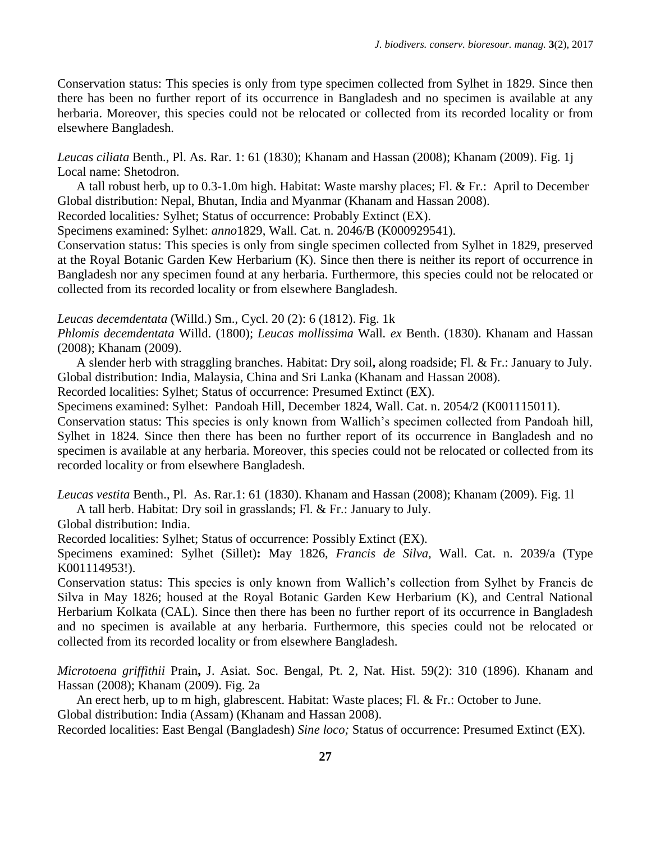Conservation status: This species is only from type specimen collected from Sylhet in 1829. Since then there has been no further report of its occurrence in Bangladesh and no specimen is available at any herbaria. Moreover, this species could not be relocated or collected from its recorded locality or from elsewhere Bangladesh.

*Leucas ciliata* Benth., Pl. As. Rar. 1: 61 (1830); Khanam and Hassan (2008); Khanam (2009). Fig. 1j Local name: Shetodron.

A tall robust herb, up to 0.3-1.0m high. Habitat: Waste marshy places; Fl. & Fr.:April to December Global distribution: Nepal, Bhutan, India and Myanmar (Khanam and Hassan 2008).

Recorded localities*:* Sylhet; Status of occurrence: Probably Extinct (EX).

Specimens examined: Sylhet: *anno*1829, Wall. Cat. n. 2046/B (K000929541).

Conservation status: This species is only from single specimen collected from Sylhet in 1829, preserved at the Royal Botanic Garden Kew Herbarium (K). Since then there is neither its report of occurrence in Bangladesh nor any specimen found at any herbaria. Furthermore, this species could not be relocated or collected from its recorded locality or from elsewhere Bangladesh.

*Leucas decemdentata* (Willd.) Sm., Cycl. 20 (2): 6 (1812). Fig. 1k

*Phlomis decemdentata* Willd. (1800); *Leucas mollissima* Wall*. ex* Benth. (1830). Khanam and Hassan (2008); Khanam (2009).

A slender herb with straggling branches. Habitat: Dry soil**,** along roadside; Fl. & Fr.: January to July. Global distribution: India, Malaysia, China and Sri Lanka (Khanam and Hassan 2008).

Recorded localities: Sylhet; Status of occurrence: Presumed Extinct (EX).

Specimens examined: Sylhet:Pandoah Hill, December 1824, Wall. Cat. n. 2054/2 (K001115011).

Conservation status: This species is only known from Wallich"s specimen collected from Pandoah hill, Sylhet in 1824. Since then there has been no further report of its occurrence in Bangladesh and no specimen is available at any herbaria. Moreover, this species could not be relocated or collected from its recorded locality or from elsewhere Bangladesh.

*Leucas vestita* Benth., Pl. As. Rar.1: 61 (1830). Khanam and Hassan (2008); Khanam (2009). Fig. 1l

A tall herb. Habitat: Dry soil in grasslands; Fl. & Fr.: January to July.

Global distribution: India.

Recorded localities: Sylhet; Status of occurrence: Possibly Extinct (EX).

Specimens examined: Sylhet (Sillet)**:** May 1826, *Francis de Silva,* Wall. Cat. n. 2039/a (Type K001114953!).

Conservation status: This species is only known from Wallich"s collection from Sylhet by Francis de Silva in May 1826; housed at the Royal Botanic Garden Kew Herbarium (K), and Central National Herbarium Kolkata (CAL). Since then there has been no further report of its occurrence in Bangladesh and no specimen is available at any herbaria. Furthermore, this species could not be relocated or collected from its recorded locality or from elsewhere Bangladesh.

*Microtoena griffithii* Prain**,** J. Asiat. Soc. Bengal, Pt. 2, Nat. Hist. 59(2): 310 (1896). Khanam and Hassan (2008); Khanam (2009). Fig. 2a

An erect herb, up to m high, glabrescent. Habitat: Waste places; Fl. & Fr.: October to June.

Global distribution: India (Assam) (Khanam and Hassan 2008).

Recorded localities: East Bengal (Bangladesh) *Sine loco;* Status of occurrence: Presumed Extinct (EX).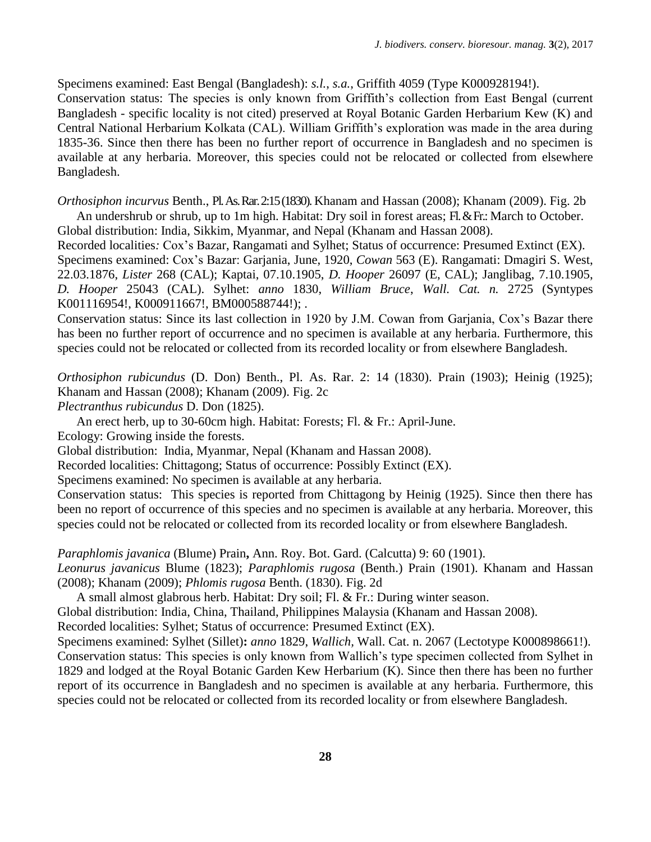Specimens examined: East Bengal (Bangladesh): *s.l.*, *s.a.*, Griffith 4059 (Type K000928194!). Conservation status: The species is only known from Griffith"s collection from East Bengal (current Bangladesh - specific locality is not cited) preserved at Royal Botanic Garden Herbarium Kew (K) and Central National Herbarium Kolkata (CAL). William Griffith's exploration was made in the area during 1835-36. Since then there has been no further report of occurrence in Bangladesh and no specimen is available at any herbaria. Moreover, this species could not be relocated or collected from elsewhere Bangladesh.

*Orthosiphon incurvus* Benth., Pl. As. Rar. 2:15 (1830). Khanam and Hassan (2008); Khanam (2009). Fig. 2b An undershrub or shrub, up to 1m high. Habitat: Dry soil in forest areas; Fl. & Fr.: March to October. Global distribution: India, Sikkim, Myanmar, and Nepal (Khanam and Hassan 2008).

Recorded localities*:* Cox"s Bazar, Rangamati and Sylhet; Status of occurrence: Presumed Extinct (EX). Specimens examined: Cox"s Bazar: Garjania, June, 1920, *Cowan* 563 (E). Rangamati: Dmagiri S. West, 22.03.1876, *Lister* 268 (CAL); Kaptai, 07.10.1905, *D. Hooper* 26097 (E, CAL); Janglibag, 7.10.1905, *D. Hooper* 25043 (CAL). Sylhet: *anno* 1830, *William Bruce*, *Wall. Cat. n.* 2725 (Syntypes K001116954!, K000911667!, BM000588744!); .

Conservation status: Since its last collection in 1920 by J.M. Cowan from Garjania, Cox"s Bazar there has been no further report of occurrence and no specimen is available at any herbaria. Furthermore, this species could not be relocated or collected from its recorded locality or from elsewhere Bangladesh.

*Orthosiphon rubicundus* (D. Don) Benth., Pl. As. Rar. 2: 14 (1830). Prain (1903); Heinig (1925); Khanam and Hassan (2008); Khanam (2009). Fig. 2c

*Plectranthus rubicundus* D. Don (1825).

An erect herb, up to 30-60cm high. Habitat: Forests; Fl. & Fr.: April-June.

Ecology: Growing inside the forests.

Global distribution:India, Myanmar, Nepal (Khanam and Hassan 2008).

Recorded localities: Chittagong; Status of occurrence: Possibly Extinct (EX).

Specimens examined: No specimen is available at any herbaria.

Conservation status: This species is reported from Chittagong by Heinig (1925). Since then there has been no report of occurrence of this species and no specimen is available at any herbaria. Moreover, this species could not be relocated or collected from its recorded locality or from elsewhere Bangladesh.

*Paraphlomis javanica* (Blume) Prain**,** Ann. Roy. Bot. Gard. (Calcutta) 9: 60 (1901).

*Leonurus javanicus* Blume (1823); *Paraphlomis rugosa* (Benth.) Prain (1901). Khanam and Hassan (2008); Khanam (2009); *Phlomis rugosa* Benth. (1830). Fig. 2d

A small almost glabrous herb. Habitat: Dry soil; Fl. & Fr.: During winter season.

Global distribution: India, China, Thailand, Philippines Malaysia (Khanam and Hassan 2008).

Recorded localities: Sylhet; Status of occurrence: Presumed Extinct (EX).

Specimens examined: Sylhet (Sillet)**:** *anno* 1829, *Wallich,* Wall. Cat. n. 2067 (Lectotype K000898661!).

Conservation status: This species is only known from Wallich"s type specimen collected from Sylhet in 1829 and lodged at the Royal Botanic Garden Kew Herbarium (K). Since then there has been no further report of its occurrence in Bangladesh and no specimen is available at any herbaria. Furthermore, this species could not be relocated or collected from its recorded locality or from elsewhere Bangladesh.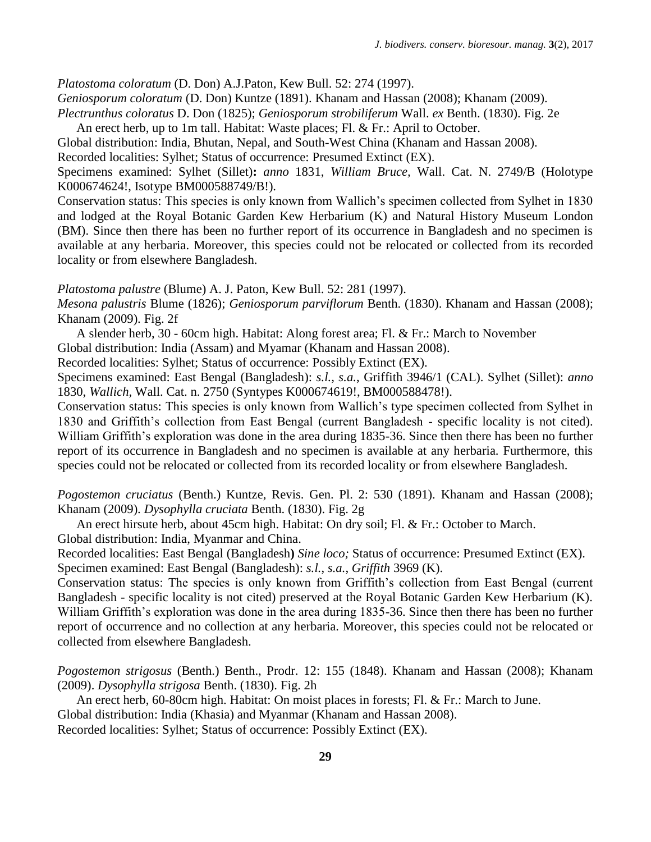*Platostoma coloratum* (D. Don) A.J.Paton, Kew Bull. 52: 274 (1997).

*Geniosporum coloratum* (D. Don) Kuntze (1891). Khanam and Hassan (2008); Khanam (2009).

*Plectrunthus coloratus* D. Don (1825); *Geniosporum strobiliferum* Wall. *ex* Benth. (1830). Fig. 2e An erect herb, up to 1m tall. Habitat: Waste places; Fl. & Fr.: April to October.

Global distribution: India, Bhutan, Nepal, and South-West China (Khanam and Hassan 2008).

Recorded localities: Sylhet; Status of occurrence: Presumed Extinct (EX).

Specimens examined: Sylhet (Sillet)**:** *anno* 1831, *William Bruce,* Wall. Cat. N. 2749/B (Holotype K000674624!, Isotype BM000588749/B!).

Conservation status: This species is only known from Wallich"s specimen collected from Sylhet in 1830 and lodged at the Royal Botanic Garden Kew Herbarium (K) and Natural History Museum London (BM). Since then there has been no further report of its occurrence in Bangladesh and no specimen is available at any herbaria. Moreover, this species could not be relocated or collected from its recorded locality or from elsewhere Bangladesh.

*Platostoma palustre* (Blume) A. J. Paton, Kew Bull. 52: 281 (1997).

*Mesona palustris* Blume (1826); *Geniosporum parviflorum* Benth. (1830). Khanam and Hassan (2008); Khanam (2009). Fig. 2f

A slender herb, 30 - 60cm high. Habitat: Along forest area; Fl. & Fr.: March to November

Global distribution: India (Assam) and Myamar (Khanam and Hassan 2008).

Recorded localities: Sylhet; Status of occurrence: Possibly Extinct (EX).

Specimens examined: East Bengal (Bangladesh): *s.l., s.a.*, Griffith 3946/1 (CAL). Sylhet (Sillet): *anno*  1830, *Wallich,* Wall. Cat. n. 2750 (Syntypes K000674619!, BM000588478!).

Conservation status: This species is only known from Wallich"s type specimen collected from Sylhet in 1830 and Griffith"s collection from East Bengal (current Bangladesh - specific locality is not cited). William Griffith's exploration was done in the area during 1835-36. Since then there has been no further report of its occurrence in Bangladesh and no specimen is available at any herbaria. Furthermore, this species could not be relocated or collected from its recorded locality or from elsewhere Bangladesh.

*Pogostemon cruciatus* (Benth.) Kuntze, Revis. Gen. Pl. 2: 530 (1891). Khanam and Hassan (2008); Khanam (2009). *Dysophylla cruciata* Benth. (1830). Fig. 2g

An erect hirsute herb, about 45cm high. Habitat: On dry soil; Fl. & Fr.: October to March.

Global distribution: India, Myanmar and China.

Recorded localities: East Bengal (Bangladesh**)** *Sine loco;* Status of occurrence: Presumed Extinct (EX). Specimen examined: East Bengal (Bangladesh): *s.l.*, *s.a.*, *Griffith* 3969 (K).

Conservation status: The species is only known from Griffith's collection from East Bengal (current Bangladesh - specific locality is not cited) preserved at the Royal Botanic Garden Kew Herbarium (K). William Griffith's exploration was done in the area during 1835-36. Since then there has been no further report of occurrence and no collection at any herbaria. Moreover, this species could not be relocated or collected from elsewhere Bangladesh.

*Pogostemon strigosus* (Benth.) Benth., Prodr. 12: 155 (1848). Khanam and Hassan (2008); Khanam (2009). *Dysophylla strigosa* Benth. (1830). Fig. 2h

An erect herb, 60-80cm high. Habitat: On moist places in forests; Fl. & Fr.: March to June.

Global distribution: India (Khasia) and Myanmar (Khanam and Hassan 2008).

Recorded localities: Sylhet; Status of occurrence: Possibly Extinct (EX).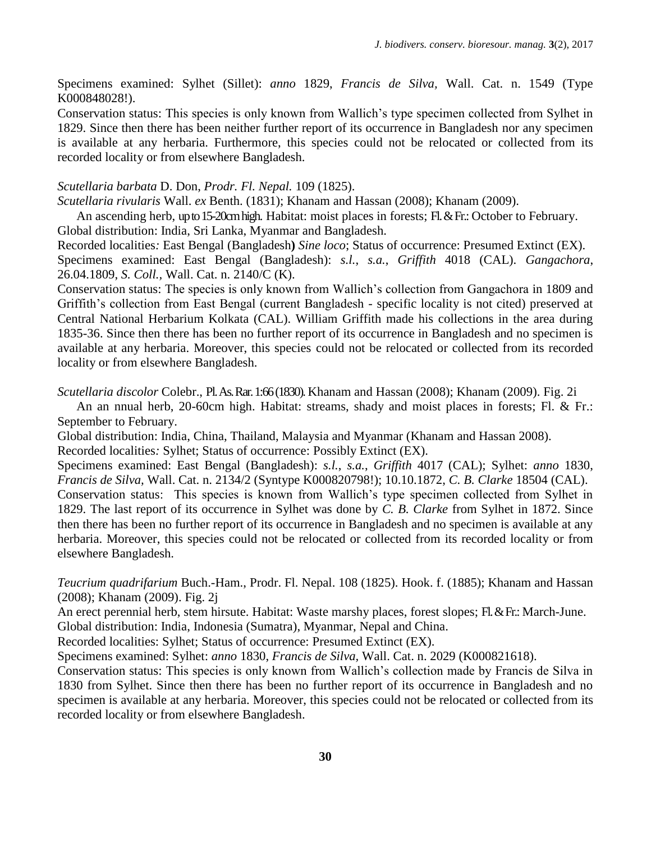Specimens examined: Sylhet (Sillet): *anno* 1829, *Francis de Silva,* Wall. Cat. n. 1549 (Type K000848028!).

Conservation status: This species is only known from Wallich"s type specimen collected from Sylhet in 1829. Since then there has been neither further report of its occurrence in Bangladesh nor any specimen is available at any herbaria. Furthermore, this species could not be relocated or collected from its recorded locality or from elsewhere Bangladesh.

# *Scutellaria barbata* D. Don, *Prodr. Fl. Nepal.* 109 (1825).

*Scutellaria rivularis* Wall. *ex* Benth. (1831); Khanam and Hassan (2008); Khanam (2009).

An ascending herb, up to 15-20cm high. Habitat: moist places in forests; Fl. & Fr.: October to February. Global distribution: India, Sri Lanka, Myanmar and Bangladesh.

Recorded localities*:* East Bengal (Bangladesh**)** *Sine loco*; Status of occurrence: Presumed Extinct (EX). Specimens examined: East Bengal (Bangladesh): *s.l.*, *s.a.*, *Griffith* 4018 (CAL). *Gangachora*, 26.04.1809, *S. Coll.,* Wall. Cat. n. 2140/C (K).

Conservation status: The species is only known from Wallich"s collection from Gangachora in 1809 and Griffith"s collection from East Bengal (current Bangladesh - specific locality is not cited) preserved at Central National Herbarium Kolkata (CAL). William Griffith made his collections in the area during 1835-36. Since then there has been no further report of its occurrence in Bangladesh and no specimen is available at any herbaria. Moreover, this species could not be relocated or collected from its recorded locality or from elsewhere Bangladesh.

*Scutellaria discolor* Colebr., Pl. As. Rar. 1:66(1830). Khanam and Hassan (2008); Khanam (2009). Fig. 2i

An an nnual herb, 20-60cm high. Habitat: streams, shady and moist places in forests; Fl. & Fr.: September to February.

Global distribution: India, China, Thailand, Malaysia and Myanmar (Khanam and Hassan 2008). Recorded localities*:* Sylhet; Status of occurrence: Possibly Extinct (EX).

Specimens examined: East Bengal (Bangladesh): *s.l.*, *s.a.*, *Griffith* 4017 (CAL); Sylhet: *anno* 1830, *Francis de Silva,* Wall. Cat. n. 2134/2 (Syntype K000820798!); 10.10.1872, *C. B. Clarke* 18504 (CAL). Conservation status: This species is known from Wallich"s type specimen collected from Sylhet in 1829. The last report of its occurrence in Sylhet was done by *C. B. Clarke* from Sylhet in 1872. Since

then there has been no further report of its occurrence in Bangladesh and no specimen is available at any herbaria. Moreover, this species could not be relocated or collected from its recorded locality or from elsewhere Bangladesh.

*Teucrium quadrifarium* Buch.-Ham., Prodr. Fl. Nepal. 108 (1825). Hook. f. (1885); Khanam and Hassan (2008); Khanam (2009). Fig. 2j

An erect perennial herb, stem hirsute. Habitat: Waste marshy places, forest slopes; Fl. & Fr.: March-June. Global distribution: India, Indonesia (Sumatra), Myanmar, Nepal and China.

Recorded localities: Sylhet; Status of occurrence: Presumed Extinct (EX).

Specimens examined: Sylhet: *anno* 1830, *Francis de Silva,* Wall. Cat. n. 2029 (K000821618).

Conservation status: This species is only known from Wallich"s collection made by Francis de Silva in 1830 from Sylhet. Since then there has been no further report of its occurrence in Bangladesh and no specimen is available at any herbaria. Moreover, this species could not be relocated or collected from its recorded locality or from elsewhere Bangladesh.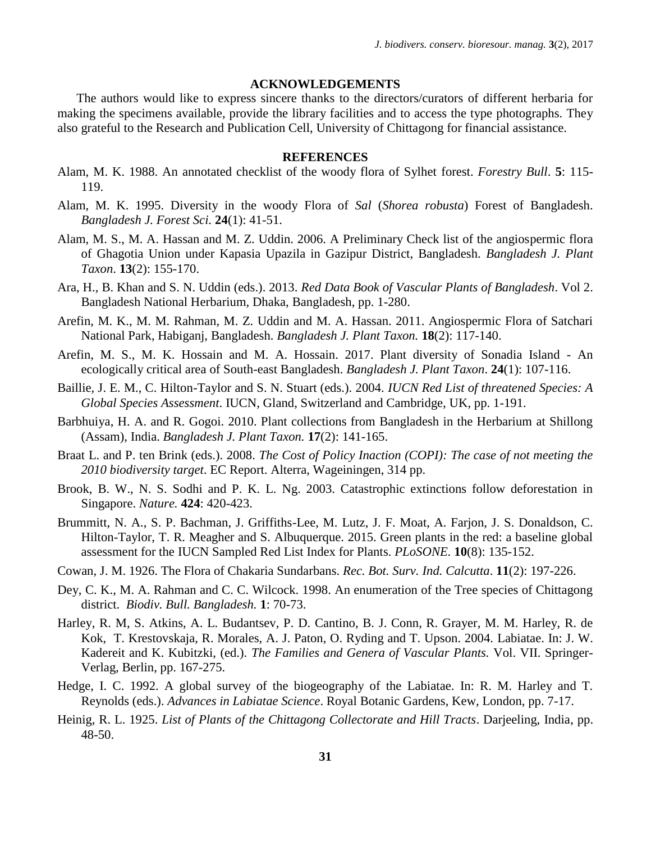### **ACKNOWLEDGEMENTS**

The authors would like to express sincere thanks to the directors/curators of different herbaria for making the specimens available, provide the library facilities and to access the type photographs. They also grateful to the Research and Publication Cell, University of Chittagong for financial assistance.

### **REFERENCES**

- Alam, M. K. 1988. An annotated checklist of the woody flora of Sylhet forest. *Forestry Bull*. **5**: 115- 119.
- Alam, M. K. 1995. Diversity in the woody Flora of *Sal* (*Shorea robusta*) Forest of Bangladesh. *Bangladesh J. Forest Sci.* **24**(1): 41-51.
- Alam, M. S., M. A. Hassan and M. Z. Uddin. 2006. A Preliminary Check list of the angiospermic flora of Ghagotia Union under Kapasia Upazila in Gazipur District, Bangladesh. *Bangladesh J. Plant Taxon*. **13**(2): 155-170.
- Ara, H., B. Khan and S. N. Uddin (eds.). 2013. *Red Data Book of Vascular Plants of Bangladesh*. Vol 2. Bangladesh National Herbarium, Dhaka, Bangladesh, pp. 1-280.
- Arefin, M. K., M. M. Rahman, M. Z. Uddin and M. A. Hassan. 2011. Angiospermic Flora of Satchari National Park, Habiganj, Bangladesh. *Bangladesh J. Plant Taxon.* **18**(2): 117-140.
- Arefin, M. S., M. K. Hossain and M. A. Hossain. 2017. Plant diversity of Sonadia Island An ecologically critical area of South-east Bangladesh. *Bangladesh J. Plant Taxon*. **24**(1): 107-116.
- Baillie, J. E. M., C. Hilton-Taylor and S. N. Stuart (eds.). 2004. *IUCN Red List of threatened Species: A Global Species Assessment*. IUCN, Gland, Switzerland and Cambridge, UK, pp. 1-191.
- Barbhuiya, H. A. and R. Gogoi. 2010. Plant collections from Bangladesh in the Herbarium at Shillong (Assam), India. *Bangladesh J. Plant Taxon.* **17**(2): 141-165.
- Braat L. and P. ten Brink (eds.). 2008. *The Cost of Policy Inaction (COPI): The case of not meeting the 2010 biodiversity target*. EC Report. Alterra, Wageiningen, 314 pp.
- Brook, B. W., N. S. Sodhi and P. K. L. Ng. 2003. Catastrophic extinctions follow deforestation in Singapore. *Nature.* **424**: 420-423.
- Brummitt, N. A., S. P. Bachman, J. Griffiths-Lee, M. Lutz, J. F. Moat, A. Farjon, J. S. Donaldson, C. Hilton-Taylor, T. R. Meagher and S. Albuquerque. 2015. Green plants in the red: a baseline global assessment for the IUCN Sampled Red List Index for Plants. *PLoSONE.* **10**(8): 135-152.
- Cowan, J. M. 1926. The Flora of Chakaria Sundarbans. *Rec. Bot. Surv. Ind. Calcutta*. **11**(2): 197-226.
- Dey, C. K., M. A. Rahman and C. C. Wilcock. 1998. An enumeration of the Tree species of Chittagong district. *Biodiv. Bull. Bangladesh.* **1**: 70-73.
- Harley, R. M, S. Atkins, A. L. Budantsev, P. D. Cantino, B. J. Conn, R. Grayer, M. M. Harley, R. de Kok, T. Krestovskaja, R. Morales, A. J. Paton, O. Ryding and T. Upson. 2004. Labiatae. In: J. W. Kadereit and K. Kubitzki, (ed.). *The Families and Genera of Vascular Plants.* Vol. VII. Springer-Verlag, Berlin, pp. 167-275.
- Hedge, I. C. 1992. A global survey of the biogeography of the Labiatae. In: R. M. Harley and T. Reynolds (eds.). *Advances in Labiatae Science*. Royal Botanic Gardens, Kew, London, pp. 7-17.
- Heinig, R. L. 1925. *List of Plants of the Chittagong Collectorate and Hill Tracts*. Darjeeling, India, pp. 48-50.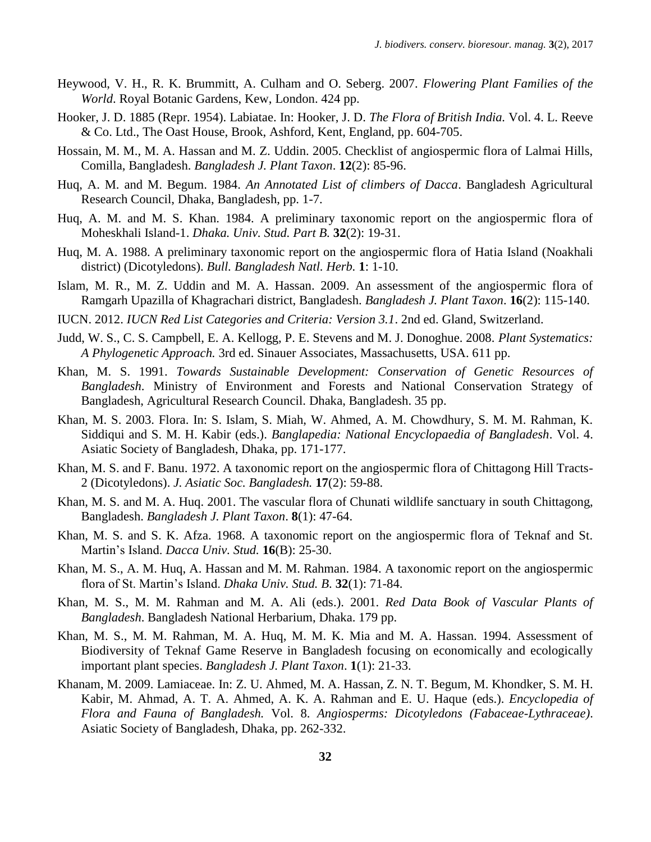- Heywood, V. H., R. K. Brummitt, A. Culham and O. Seberg. 2007. *Flowering Plant Families of the World*. Royal Botanic Gardens, Kew, London. 424 pp.
- Hooker, J. D. 1885 (Repr. 1954). Labiatae. In: Hooker, J. D. *The Flora of British India.* Vol. 4. L. Reeve & Co. Ltd., The Oast House, Brook, Ashford, Kent, England, pp. 604-705.
- Hossain, M. M., M. A. Hassan and M. Z. Uddin. 2005. Checklist of angiospermic flora of Lalmai Hills, Comilla, Bangladesh. *Bangladesh J. Plant Taxon*. **12**(2): 85-96.
- Huq, A. M. and M. Begum. 1984. *An Annotated List of climbers of Dacca*. Bangladesh Agricultural Research Council, Dhaka, Bangladesh, pp. 1-7.
- Huq, A. M. and M. S. Khan. 1984. A preliminary taxonomic report on the angiospermic flora of Moheskhali Island-1. *Dhaka. Univ. Stud. Part B.* **32**(2): 19-31.
- Huq, M. A. 1988. A preliminary taxonomic report on the angiospermic flora of Hatia Island (Noakhali district) (Dicotyledons). *Bull. Bangladesh Natl. Herb.* **1**: 1-10.
- Islam, M. R., M. Z. Uddin and M. A. Hassan. 2009. An assessment of the angiospermic flora of Ramgarh Upazilla of Khagrachari district, Bangladesh. *Bangladesh J. Plant Taxon*. **16**(2): 115-140.
- IUCN. 2012. *IUCN Red List Categories and Criteria: Version 3.1*. 2nd ed. Gland, Switzerland.
- Judd, W. S., C. S. Campbell, E. A. Kellogg, P. E. Stevens and M. J. Donoghue. 2008. *Plant Systematics: A Phylogenetic Approach.* 3rd ed. Sinauer Associates, Massachusetts, USA. 611 pp.
- Khan, M. S. 1991. *Towards Sustainable Development: Conservation of Genetic Resources of Bangladesh*. Ministry of Environment and Forests and National Conservation Strategy of Bangladesh, Agricultural Research Council. Dhaka, Bangladesh. 35 pp.
- Khan, M. S. 2003. Flora. In: S. Islam, S. Miah, W. Ahmed, A. M. Chowdhury, S. M. M. Rahman, K. Siddiqui and S. M. H. Kabir (eds.). *Banglapedia: National Encyclopaedia of Bangladesh*. Vol. 4. Asiatic Society of Bangladesh, Dhaka, pp. 171-177.
- Khan, M. S. and F. Banu. 1972. A taxonomic report on the angiospermic flora of Chittagong Hill Tracts-2 (Dicotyledons). *J. Asiatic Soc. Bangladesh.* **17**(2): 59-88.
- Khan, M. S. and M. A. Huq. 2001. The vascular flora of Chunati wildlife sanctuary in south Chittagong, Bangladesh. *Bangladesh J. Plant Taxon*. **8**(1): 47-64.
- Khan, M. S. and S. K. Afza. 1968. A taxonomic report on the angiospermic flora of Teknaf and St. Martin"s Island. *Dacca Univ. Stud.* **16**(B): 25-30.
- Khan, M. S., A. M. Huq, A. Hassan and M. M. Rahman. 1984. A taxonomic report on the angiospermic flora of St. Martin"s Island. *Dhaka Univ. Stud. B*. **32**(1): 71-84.
- Khan, M. S., M. M. Rahman and M. A. Ali (eds.). 2001. *Red Data Book of Vascular Plants of Bangladesh*. Bangladesh National Herbarium, Dhaka. 179 pp.
- Khan, M. S., M. M. Rahman, M. A. Huq, M. M. K. Mia and M. A. Hassan. 1994. Assessment of Biodiversity of Teknaf Game Reserve in Bangladesh focusing on economically and ecologically important plant species. *Bangladesh J. Plant Taxon*. **1**(1): 21-33.
- Khanam, M. 2009. Lamiaceae. In: Z. U. Ahmed, M. A. Hassan, Z. N. T. Begum, M. Khondker, S. M. H. Kabir, M. Ahmad, A. T. A. Ahmed, A. K. A. Rahman and E. U. Haque (eds.). *Encyclopedia of Flora and Fauna of Bangladesh.* Vol. 8. *Angiosperms: Dicotyledons (Fabaceae-Lythraceae)*. Asiatic Society of Bangladesh, Dhaka, pp. 262-332.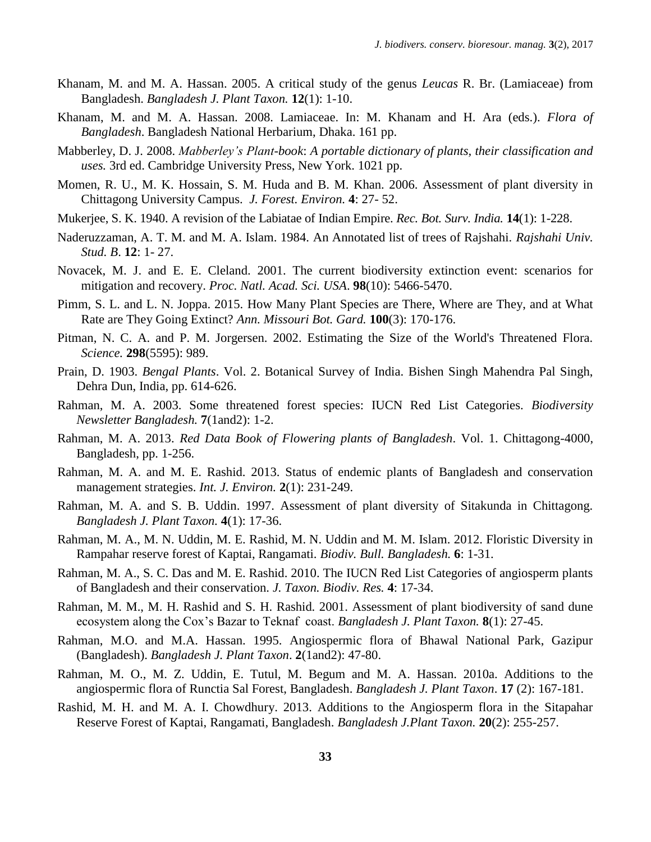- Khanam, M. and M. A. Hassan. 2005. A critical study of the genus *Leucas* R. Br. (Lamiaceae) from Bangladesh. *Bangladesh J. Plant Taxon.* **12**(1): 1-10.
- Khanam, M. and M. A. Hassan. 2008. Lamiaceae. In: M. Khanam and H. Ara (eds.). *Flora of Bangladesh*. Bangladesh National Herbarium, Dhaka. 161 pp.
- Mabberley, D. J. 2008. *Mabberley's Plant-book*: *A portable dictionary of plants, their classification and uses.* 3rd ed. Cambridge University Press, New York. 1021 pp.
- Momen, R. U., M. K. Hossain, S. M. Huda and B. M. Khan. 2006. Assessment of plant diversity in Chittagong University Campus. *J. Forest. Environ.* **4**: 27- 52.
- Mukerjee, S. K. 1940. A revision of the Labiatae of Indian Empire. *Rec. Bot. Surv. India.* **14**(1): 1-228.
- Naderuzzaman, A. T. M. and M. A. Islam. 1984. An Annotated list of trees of Rajshahi. *Rajshahi Univ. Stud. B*. **12**: 1- 27.
- Novacek, M. J. and E. E. Cleland. 2001. The current biodiversity extinction event: scenarios for mitigation and recovery. *Proc. Natl. Acad. Sci. USA*. **98**(10): 5466-5470.
- Pimm, S. L. and L. N. Joppa. 2015. How Many Plant Species are There, Where are They, and at What Rate are They Going Extinct? *Ann. Missouri Bot. Gard.* **100**(3): 170-176.
- Pitman, N. C. A. and P. M. Jorgersen. 2002. Estimating the Size of the World's Threatened Flora. *Science.* **298**(5595): 989.
- Prain, D. 1903. *Bengal Plants*. Vol. 2. Botanical Survey of India. Bishen Singh Mahendra Pal Singh, Dehra Dun, India, pp. 614-626.
- Rahman, M. A. 2003. Some threatened forest species: IUCN Red List Categories. *Biodiversity Newsletter Bangladesh.* **7**(1and2): 1-2.
- Rahman, M. A. 2013. *Red Data Book of Flowering plants of Bangladesh*. Vol. 1. Chittagong-4000, Bangladesh, pp. 1-256.
- Rahman, M. A. and M. E. Rashid. 2013. Status of endemic plants of Bangladesh and conservation management strategies. *Int. J. Environ.* **2**(1): 231-249.
- Rahman, M. A. and S. B. Uddin. 1997. Assessment of plant diversity of Sitakunda in Chittagong. *Bangladesh J. Plant Taxon.* **4**(1): 17-36.
- Rahman, M. A., M. N. Uddin, M. E. Rashid, M. N. Uddin and M. M. Islam. 2012. Floristic Diversity in Rampahar reserve forest of Kaptai, Rangamati. *Biodiv. Bull. Bangladesh.* **6**: 1-31.
- Rahman, M. A., S. C. Das and M. E. Rashid. 2010. The IUCN Red List Categories of angiosperm plants of Bangladesh and their conservation. *J. Taxon. Biodiv. Res.* **4**: 17-34.
- Rahman, M. M., M. H. Rashid and S. H. Rashid. 2001. Assessment of plant biodiversity of sand dune ecosystem along the Cox"s Bazar to Teknaf coast. *Bangladesh J. Plant Taxon.* **8**(1): 27-45.
- Rahman, M.O. and M.A. Hassan. 1995. Angiospermic flora of Bhawal National Park, Gazipur (Bangladesh). *Bangladesh J. Plant Taxon*. **2**(1and2): 47-80.
- Rahman, M. O., M. Z. Uddin, E. Tutul, M. Begum and M. A. Hassan. 2010a. Additions to the angiospermic flora of Runctia Sal Forest, Bangladesh. *Bangladesh J. Plant Taxon*. **17** (2): 167-181.
- Rashid, M. H. and M. A. I. Chowdhury. 2013. Additions to the Angiosperm flora in the Sitapahar Reserve Forest of Kaptai, Rangamati, Bangladesh. *Bangladesh J.Plant Taxon.* **20**(2): 255-257.